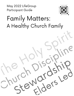May 2022 LifeGroup **Participant Guide** 



# **Family Matters:** A Healthy Church Family

er

 $\zeta$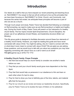## **Introduction**

Our desire as a staff is that you have enjoyed our recent preaching and teaching focus on ReCONNECT. Our prayer is that we will all continue to live out the principles that we have been focusing on: ReCONNECT to Christ, Church, and Community. Just because this series has ended, we anticipate these principles will become a part of who we are as a church.

Through much prayer and study, Pastor Travis has decided that following our emphasis on ReConnecting, we need to make sure we are ReConnecting in a helpful and healthy way. During the month of May, Pastor Travis will preach on four elements of a healthy church family. The four topics include Spirit Empowerment, Church Discipline, the proper use of our giftedness (Invest Wisely), and leadership structure (Elder Led Ministry).

This life group guide is designed to facilitate discussion around these four elements of a healthy church family. However, you might be reading this guide and have never connected with Jesus Christ. You might be asking, why do I need to connect with Him, or what does it even mean to connect with Jesus Christ? We are glad you are asking those questions, and we would love to talk with you about any questions you may have regarding connecting with Jesus! Give us a call or send us an email! FBC@fbcgarner.org or (919) 772 1772

#### **A Healthy Church Family: Prayer Prompts**

- 1. Ask that God would help our church family to consider one another's needs before our own.
- 2. Pray that you and your church family would grow more dependent on the Holy Spirit.
- 3. Pray that God would help us persevere in our obedience to Him and lean on each other when it's hard to obey.
- 4. Pray for God to show you how to faithfully give of the time, talents, and material gifts that He has given.
- 5. Pray for our church as we review and study our leadership structure. Specifically, pray for Pastor Travis as he studies the topic of Elders on his sabbatical.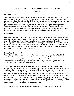#### **Interactive Learning: "The Promise Fulfilled!" Acts 2:1-13**

Week 1

#### **Main Idea of Text:**

The Book of Acts is the historical account of the beginning of the Church. Acts 2 records the fulfillment of the promise Jesus spoke about regarding the coming of the Holy Spirit. Luke records the extraordinary things the disciples were able to accomplish because they were led by the Holy Spirit. The work of God they engaged in produced evidence of the power and presence of God in their lives. They were Holy Spirit-filled and supernaturally gifted as Ambassadors of Christ. The working of God's Spirit in the lives of these believers was amazing to some and dismissed by others. However, there was no denying the Holy Spirit had come upon the infant Church to equip them to glorify the Lord Jesus Christ.

#### **Connection**

Last week's sermon emphasized the fulfillment of the promise Jesus made to send the Holy Spirit to equip and empower the Church to fulfill its mission. A healthy church is a Spirit-filled and Spirit-led church. What extraordinary things are happening in your life and in our fellowship that only can be attributed to the power and presence of the Holy Spirit's work? It is so easy to attempt to do ministry in our own power. We must not give in to this temptation, but rather learn to hear and follow the leadership of the Holy Spirit in our lives, as well as in our service to one another and our community.

#### **Read: Acts 2:1-13 (CSB)**

When the day of Pentecost had arrived, they were all together in one place. <sup>2</sup> Suddenly a sound like that of a violent rushing wind came from heaven, and it filled the whole house where they were staying. <sup>3</sup> They saw tongues like flames of fire that separated and rested on each one of them. <sup>4</sup> Then they were all filled with the Holy Spirit and began to speak in different tongues, as the Spirit enabled them.

**<sup>5</sup>** Now there were Jews staying in Jerusalem, devout people from every nation under heaven. **<sup>6</sup>** When this sound occurred, a crowd came together and was confused because each one heard them speaking in his own language. **<sup>7</sup>** They were astounded and amazed, saying, "Look, aren't all these who are speaking Galileans? **<sup>8</sup>** How is it that each of us can hear them in our own native language? **<sup>9</sup>**Parthians, Medes, Elamites; those who live in Mesopotamia, in Judea and Cappadocia, Pontus and Asia, **<sup>10</sup>**Phrygia and Pamphylia, Egypt and the parts of Libya near Cyrene; visitors from Rome (both Jews and converts), **<sup>11</sup>** Cretans and Arabs—we hear them declaring the magnificent acts of God in our own tongues." **<sup>12</sup>** They were all astounded and perplexed, saying to one another, "What does this mean?" **<sup>13</sup>**But some sneered and said, "They're drunk on new wine."

Take a moment to write down your initial takeaways and summarize the texts.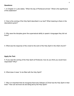#### **Questions:**

1. In Chapter 2:1 Luke states, "When the day of Pentecost arrived." What is the significance of this statement?

2. How is the coming of the Holy Spirit described in our text? What meaning is there in the descriptions given?

3. Why were the disciples given the supernatural ability to speak in languages they did not know?

4. What was the response of the crowd to the work of the Holy Spirit in the infant church?

#### **Apply the Text:**

5. If you saw the coming of the Holy Spirit at Pentecost, how do you think you would have responded? Why?

6. What does it mean "to be filled with the Holy Spirit?

7. Why is it important that we recognize that every follower of Christ has the Holy Spirit in their lives? How can we know we are being led by the Holy Spirit?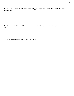8. How can we as a church family benefit by growing in our sensitivity to the Holy Spirit's leadership?

9. When has the Lord enabled you to do something that you did not think you were able to do?

10. How does this passage prompt me to pray?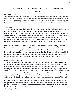#### **Interactive Learning: "Why We Need Discipline" 1 Corinthians 5:1-13**

Week 2

#### **Main Idea of Text:**

The book of 1 Corinthians challenges believers to examine every area of life through the lens of the Gospel. Specifically, Paul addresses divisions among believers, such as division over food, worship gatherings, and the resurrection. In chapter 5, in light of sexual immorality in the body of Christ, Paul addresses the motive behind and the need for discipline in the church.

#### **Connection:**

One of the toughest parts about parenting is when a child must be disciplined. It's hard for the parent as well as for the child! Many a child has heard a parent say just before being disciplined "this is going to hurt me more than it hurts you." When I was a child, that statement seemed like it could not be true. I was the one preparing to be disciplined! But when I became a parent, I discovered that saying was absolutely true. As a parent, it was a difficult responsibility to administer discipline to a child. But there was a motive behind that discipline that was purposeful and there was a need for the discipline that could not be overlooked.

Last week, the message preached was from 1 Corinthians 5:1-13 titled "(Why We Need Discipline)." Paul's message to the Christians at the church of Corinth pointed to a specific situation that was being allowed to take place in the Corithian body of Christ. Sexual immorality had made its way into the church and yet the church was not only turning a blind eye to the sin but was also boasting about their other areas of supposed greatness. Paul emphasized the purpose of discipline in the body of Christ and the importance of it.

#### **Read: 1 Corinthians 5:1-13**

**1** It is actually reported that there is sexual immorality among you, and the kind of sexual immorality that is not even tolerated among the Gentiles—a man is sleeping with his father's wife. **2** And you are arrogant! Shouldn't you be filled with grief and remove from your congregation the one who did this? **3** Even though I am absent in the body, I am present in spirit. As one who is present with you in this way, I have already pronounced judgment on the one who has been doing such a thing. **4** When you are assembled in the name of our Lord Jesus, and I am with you in spirit, with the power of our Lord Jesus, **5** hand that one over to Satan for the destruction of the flesh, so that his spirit may be saved in the day of the Lord.

**6** Your boasting is not good. Don't you know that a little leaven leavens the whole batch of dough? **7** Clean out the old leaven so that you may be a new unleavened batch, as indeed you are. For Christ our Passover lamb has been sacrificed. **8** Therefore, let us observe the feast, not with old leaven or with the leaven of malice and evil, but with the unleavened bread of sincerity and truth.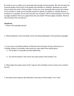**9** I wrote to you in a letter not to associate with sexually immoral people. **10** I did not mean the immoral people of this world or the greedy and swindlers or idolaters; otherwise you would have to leave the world. **11** But actually, I wrote you not to associate with anyone who claims to be a brother or sister and is sexually immoral or greedy, an idolater or verbally abusive, a drunkard or a swindler. Do not even eat with such a person. **12** For what business is it of mine to judge outsiders? Don't you judge those who are inside? **13** God judges outsiders. Remove the evil person from among you.

#### **Questions:**

1. What is this passage saying?

2. What problem(s) in the Corinthian church are being addressed in this particular passage?

3. If you were a Corinthian believer at that time who had been turning a blind eye to a Christian brother's immorality, what would you have heard Paul saying about:

- a. The brother in a sexually immoral relationship.
- b. You and the others in the church who were aware of the brother's sin.

4. What might have been some of the "reasons" the Corinthian church chose not to confront the sin?

5. Are these same reasons still influential in the body of Christ today? If so, how?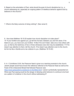6. Based on the exhortation of Paul, what should the goal of church discipline be (i.e., a church addressing sin, especially an ongoing pattern of rebellious behavior against God by believers in the church)?

7. What is the likely outcome of doing nothing? (See verse 6)

8. How does Matthew 18:15-20 explain how church discipline is to take place? 15 "If your brother sins against you, go tell him his fault, between you and him alone. If he listens to you, you have won your brother. 16 But if he won't listen, take one or two others with you, so that by the testimony of two or three witnesses every fact may be established. 17 If he doesn't pay attention to them, tell the church. If he doesn't pay attention even to the church, let him be like a Gentile and a tax collector to you. (Matthew 18:15-20)

9. In 1 Corinthians 5:6-8, the Passover feast is given as a teaching example to the church. Jewish people would have known the reference referred to the Passover feast as well as the Feast of the Unleavened Bread that followed Passover (see <https://www.gotquestions.org/leaven-in-the-Bible.html>) Leaven symbolically represented sin. What was Paul saying would be the danger of allowing sinful behavior to continue to be lived as a pattern of a believer in the church without addressing it?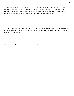10. A common objection to confronting sin in the church is "who am I to judge?". But the verses 1 Corinthians 5:9-12 make clear that the judgment and actions to be taken aren't meant to be towards unbelievers, but professed believers. Why would Paul differentiate between professed believers who live in a pattern of sin and unbelievers?

11. What does this passage demonstrate about the holiness of God and the testimony of His church? What are possible steps your life group can take to encourage each other in being obedient to God's Word?

12. What does this passage prompt you to pray?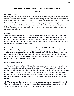#### **Interactive Learning: "Investing Wisely" Matthew 25:14-30**

Week 3

#### **Main Idea of Text:**

Following Matthew 24 in which Jesus taught his disciples regarding future events (including end time future events), Matthew 25 records the teaching of Jesus through several parables related to his discussion of future events. The parable in Matthew 25:14-30 is known as "The Parable of The Talents" in which Jesus teaches regarding the kingdom principle of stewardship. Every single individual has been entrusted with resources from God that belong to God. We each have a responsibility to God for the kingdom investment of His resources that are entrusted to us.

#### **Connection:**

When you deposit money into a savings institution like a bank or a credit union, you are not making a donation to the bank for it to take ownership of your money. Rather, you are placing your money into the bank that it may care for and manage your money. You are asking the bank to protect your funds and expand them on your behalf (via interest). In that sense, you are asking the bank to act as a steward.

Last week, the message preached was from Matthew 25:14-30 titled "(Investing Wisely)." In this parable, a wealthy man gave his possessions to each of his three servants before he went away on a journey so that they might manage them for him in his absence. Upon his return, the master of the servants returned and settled accounts with each of the servants. How each of the servants had stewarded those resources reflected their faithfulness to their master and they were rewarded accordingly.

#### **Read: Matthew 25:14-30**

**14** "For it [*the kingdom of heaven*] is just like a man about to go on a journey. He called his own servants and entrusted his possessions to them. **15** To one he gave five talents, to another two talents, and to another one talent, depending on each one's ability. Then he went on a journey. Immediately **16** the man who had received five talents went, put them to work, and earned five more. **17** In the same way the man with two earned two more. **18** But the man who had received one talent went off, dug a hole in the ground, and hid his master's money.

**19** "After a long time the master of those servants came and settled accounts with them. **20** The man who had received five talents approached, presented five more talents, and said, 'Master, you gave me five talents. See, I've earned five more talents.'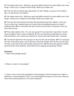**21** "His master said to him, 'Well done, good and faithful servant! You were faithful over a few things; I will put you in charge of many things. Share your master's joy.'

**22** "The man with two talents also approached. He said, 'Master, you gave me two talents. See, I've earned two more talents.'

**23** "His master said to him, 'Well done, good and faithful servant! You were faithful over a few things; I will put you in charge of many things. Share your master's joy.'

**24** "The man who had received one talent also approached and said, 'Master, I know you. You're a harsh man, reaping where you haven't sown and gathering where you haven't scattered seed. **25** So I was afraid and went off and hid your talent in the ground. See, you have what is yours.'

**26** "His master replied to him, 'You evil, lazy servant! If you knew that I reap where I haven't sown and gather where I haven't scattered, **27** then you should have deposited my money with the bankers, and I would have received my money back with interest when I returned.

**28** "'So take the talent from him and give it to the one who has ten talents. **29** For to everyone who has, more will be given, and he will have more than enough. But from the one who does not have, even what he has will be taken away from him. **30** And throw this good-for-nothing servant into the outer darkness, where there will be weeping and gnashing of teeth.'

#### **Questions:**

1. What is this passage saying?

2. What is a "talent" in this parable?

3. There is irony in one of the applications of this passage in that the english word "talent" is defined as "a natural aptitude or skill". Our natural talents were given to us by God. What are more of the resources given to us by God to steward?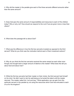4. Why did the master in the parable give each of the three servants different amounts rather than the same amount?

5. Does God give the same amount of responsibilities and resources to each of His children today? Why or why not? How should we respond to the Lord if we are given more or less than others?

6. What does this passage tell us about God?

7. What was the difference in how the first two servants invested as opposed to the third servant? What do you think was the motivation behind each of their investment actions?

8. Why do you think the first two servants received the same reward as each other even though one brought back a larger amount of talents to the master? What does this tell you about God and about man?

9. While the first two servants had their master on their minds, the third servant had himself on his mind. He didn't want to risk his well-being so he buried the talent until the master returned. The master called him "evil and lazy." What application can we gain from this particular servant in the parable by not using the resources which God has entrusted to each of us for His kingdom?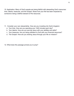10. Application: Many of God's people are being faithful with stewarding God's resources: time, talents, treasures, and the Gospel. Share how your life has been impacted by someone's being a faithful steward of His resources.

- 11. Consider your own stewardship. How are you investing into God's kingdom:
	- a. Your time. How are you spending your 1440 minutes each day?
	- b. Your talents. How are you serving Jesus with your abilities and skills?
	- c. Your treasures. Are you being obedient to God with your financial resources?
	- d. The Gospel. How are you sharing Jesus through your life on mission?
- 12. What does this passage prompt you to pray?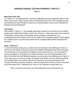#### **Interactive Learning: "The Heart of Eldership" 1 Peter 5:1-7**

Week 4

#### **Main Idea of the Text:**

In 1 Peter 5:1-7, the Apostle Peter is primarily challenging and encouraging the elders in Asia Minor (modern-day Turkey) during a time of widespread persecution. This message requires all churches who read this letter to respond to a central question; what is your motivation for following the Chief Shepherd?

#### **Connection:**

After reading 1 Peter 5:1-7, the passage might seem irrelevant as very few of you are elders (pastors) and might feel this letter is not for you. However, 1 Peter was written to the churches of Asia Minor, not the elders of Asia Minor, and its message is beneficial for your understanding of God's design for His Church. Elders are an essential aspect of God's design for a healthy church, and we should praise God for countless faithful elders throughout the centuries!

#### **Read: 1 Peter 5:1-7**

**1** I exhort the elders among you as a fellow elder and witness to the sufferings of Christ, as well as one who shares in the glory about to be revealed: **2** Shepherd God's flock among you, not overseeing out of compulsion but willingly, as God would have you; not out of greed for money but eagerly; **3** not lording it over those entrusted to you, but being examples to the flock. **4** And when the chief Shepherd appears, you will receive the unfading crown of glory. **5** In the same way, you who are younger, be subject to the elders. All of you clothe yourselves with humility toward one another, because God resists the proud but gives grace to the humble. **6** Humble yourselves, therefore, under the mighty hand of God, so that he may exalt you at the proper time, **7** casting all your cares on him, because he cares about you.

Take a moment to write down your initial takeaways and summarize the text.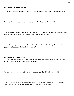#### **Questions: Exploring the Text**

- 1. Why are the titles Peter attributes to himself in verse 1 important for his exhortation?
- 2. According to the passage, how should an elder shepherd God's flock?

3. This passage encourages all church members to "clothe yourselves with humility toward one another," what does that mean in the context of verses 5-7?

4. It's always important to remember that the Bible is focused on God; what does this passage tell us about God and His character?

#### **Questions: Applying the Text**

5. How does humility transform the ways in which we interact with one another? What are some practical ways that pride causes division?

6. How could you be more intentional about putting on humility this next week?

7. According to Peter, all believers are part of God's flock and have Jesus as their Chief Shepherd. What does it look like for Jesus to be your Chief Shepherd?